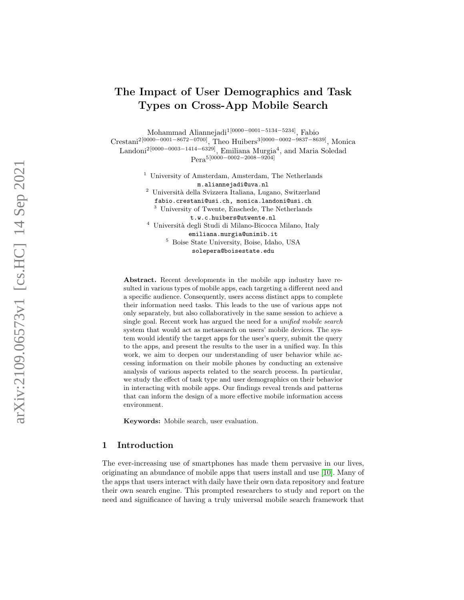# The Impact of User Demographics and Task Types on Cross-App Mobile Search

Mohammad Aliannejadi<sup>1[0000–0001–5134–5234]</sup>, Fabio Crestani<sup>2</sup><sup>[0000–0001–8672–0700]</sup>, Theo Huibers<sup>3</sup><sup>[0000–0002–9837–8639]</sup>, Monica Landoni<sup>2</sup><sup>[0000–0003–1414–6329]</sup>, Emiliana Murgia<sup>4</sup>, and Maria Soledad Pera5[0000 −0002 −2008 −9204]

> <sup>1</sup> University of Amsterdam, Amsterdam, The Netherlands m.aliannejadi@uva.nl

> <sup>2</sup> Università della Svizzera Italiana, Lugano, Switzerland fabio.crestani@usi.ch, monica.landoni@usi.ch <sup>3</sup> University of Twente, Enschede, The Netherlands

t.w.c.huibers@utwente.nl

 $^4\,$ Università degli Studi di Milano-Bicocca Milano, Italy emiliana.murgia@unimib.it <sup>5</sup> Boise State University, Boise, Idaho, USA

solepera@boisestate.edu

Abstract. Recent developments in the mobile app industry have resulted in various types of mobile apps, each targeting a different need and a specific audience. Consequently, users access distinct apps to complete their information need tasks. This leads to the use of various apps not only separately, but also collaboratively in the same session to achieve a single goal. Recent work has argued the need for a unified mobile search system that would act as metasearch on users' mobile devices. The system would identify the target apps for the user's query, submit the query to the apps, and present the results to the user in a unified way. In this work, we aim to deepen our understanding of user behavior while accessing information on their mobile phones by conducting an extensive analysis of various aspects related to the search process. In particular, we study the effect of task type and user demographics on their behavior in interacting with mobile apps. Our findings reveal trends and patterns that can inform the design of a more effective mobile information access environment.

Keywords: Mobile search, user evaluation.

## 1 Introduction

The ever-increasing use of smartphones has made them pervasive in our lives, originating an abundance of mobile apps that users install and use [\[10\]](#page-10-0). Many of the apps that users interact with daily have their own data repository and feature their own search engine. This prompted researchers to study and report on the need and significance of having a truly universal mobile search framework that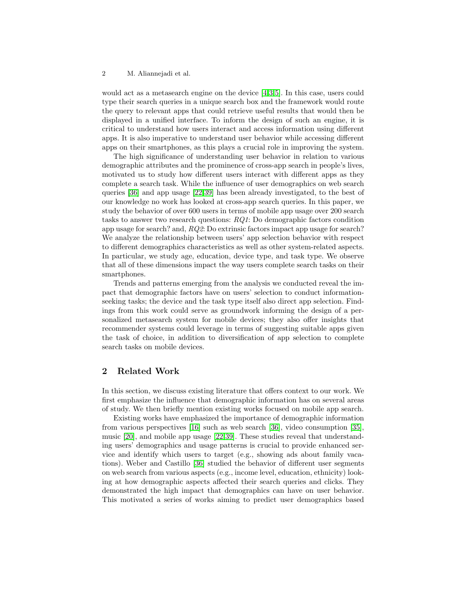would act as a metasearch engine on the device [\[4](#page-10-1)[,3,](#page-9-0)[5\]](#page-10-2). In this case, users could type their search queries in a unique search box and the framework would route the query to relevant apps that could retrieve useful results that would then be displayed in a unified interface. To inform the design of such an engine, it is critical to understand how users interact and access information using different apps. It is also imperative to understand user behavior while accessing different apps on their smartphones, as this plays a crucial role in improving the system.

The high significance of understanding user behavior in relation to various demographic attributes and the prominence of cross-app search in people's lives, motivated us to study how different users interact with different apps as they complete a search task. While the influence of user demographics on web search queries [\[36\]](#page-11-0) and app usage [\[22,](#page-10-3)[39\]](#page-11-1) has been already investigated, to the best of our knowledge no work has looked at cross-app search queries. In this paper, we study the behavior of over 600 users in terms of mobile app usage over 200 search tasks to answer two research questions: RQ1: Do demographic factors condition app usage for search? and, RQ2: Do extrinsic factors impact app usage for search? We analyze the relationship between users' app selection behavior with respect to different demographics characteristics as well as other system-related aspects. In particular, we study age, education, device type, and task type. We observe that all of these dimensions impact the way users complete search tasks on their smartphones.

Trends and patterns emerging from the analysis we conducted reveal the impact that demographic factors have on users' selection to conduct informationseeking tasks; the device and the task type itself also direct app selection. Findings from this work could serve as groundwork informing the design of a personalized metasearch system for mobile devices; they also offer insights that recommender systems could leverage in terms of suggesting suitable apps given the task of choice, in addition to diversification of app selection to complete search tasks on mobile devices.

# 2 Related Work

In this section, we discuss existing literature that offers context to our work. We first emphasize the influence that demographic information has on several areas of study. We then briefly mention existing works focused on mobile app search.

Existing works have emphasized the importance of demographic information from various perspectives [\[16\]](#page-10-4) such as web search [\[36\]](#page-11-0), video consumption [\[35\]](#page-11-2), music [\[20\]](#page-10-5), and mobile app usage [\[22,](#page-10-3)[39\]](#page-11-1). These studies reveal that understanding users' demographics and usage patterns is crucial to provide enhanced service and identify which users to target (e.g., showing ads about family vacations). Weber and Castillo [\[36\]](#page-11-0) studied the behavior of different user segments on web search from various aspects (e.g., income level, education, ethnicity) looking at how demographic aspects affected their search queries and clicks. They demonstrated the high impact that demographics can have on user behavior. This motivated a series of works aiming to predict user demographics based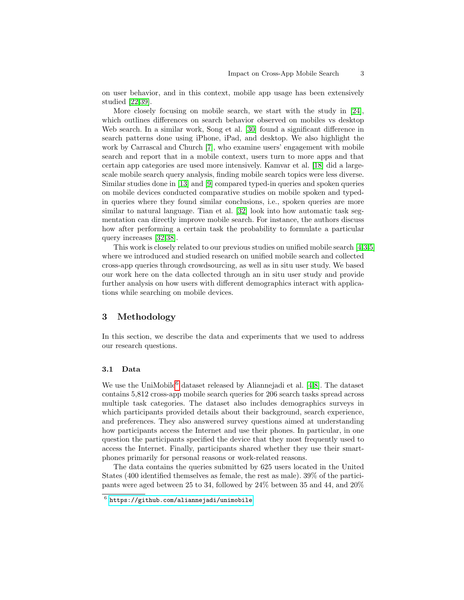on user behavior, and in this context, mobile app usage has been extensively studied [\[22](#page-10-3)[,39\]](#page-11-1).

More closely focusing on mobile search, we start with the study in [\[24\]](#page-11-3), which outlines differences on search behavior observed on mobiles vs desktop Web search. In a similar work, Song et al. [\[30\]](#page-11-4) found a significant difference in search patterns done using iPhone, iPad, and desktop. We also highlight the work by Carrascal and Church [\[7\]](#page-10-6), who examine users' engagement with mobile search and report that in a mobile context, users turn to more apps and that certain app categories are used more intensively. Kamvar et al. [\[18\]](#page-10-7) did a largescale mobile search query analysis, finding mobile search topics were less diverse. Similar studies done in [\[13\]](#page-10-8) and [\[9\]](#page-10-9) compared typed-in queries and spoken queries on mobile devices conducted comparative studies on mobile spoken and typedin queries where they found similar conclusions, i.e., spoken queries are more similar to natural language. Tian et al. [\[32\]](#page-11-5) look into how automatic task segmentation can directly improve mobile search. For instance, the authors discuss how after performing a certain task the probability to formulate a particular query increases [\[32,](#page-11-5)[38\]](#page-11-6).

This work is closely related to our previous studies on unified mobile search [\[4,](#page-10-1)[3,](#page-9-0)[5\]](#page-10-2) where we introduced and studied research on unified mobile search and collected cross-app queries through crowdsourcing, as well as in situ user study. We based our work here on the data collected through an in situ user study and provide further analysis on how users with different demographics interact with applications while searching on mobile devices.

## 3 Methodology

In this section, we describe the data and experiments that we used to address our research questions.

#### 3.1 Data

We use the UniMobile<sup>[6](#page-2-0)</sup> dataset released by Aliannejadi et al.  $[4,8]$  $[4,8]$ . The dataset contains 5,812 cross-app mobile search queries for 206 search tasks spread across multiple task categories. The dataset also includes demographics surveys in which participants provided details about their background, search experience, and preferences. They also answered survey questions aimed at understanding how participants access the Internet and use their phones. In particular, in one question the participants specified the device that they most frequently used to access the Internet. Finally, participants shared whether they use their smartphones primarily for personal reasons or work-related reasons.

The data contains the queries submitted by 625 users located in the United States (400 identified themselves as female, the rest as male). 39% of the participants were aged between 25 to 34, followed by 24% between 35 and 44, and 20%

<span id="page-2-0"></span> $^6$  <https://github.com/aliannejadi/unimobile>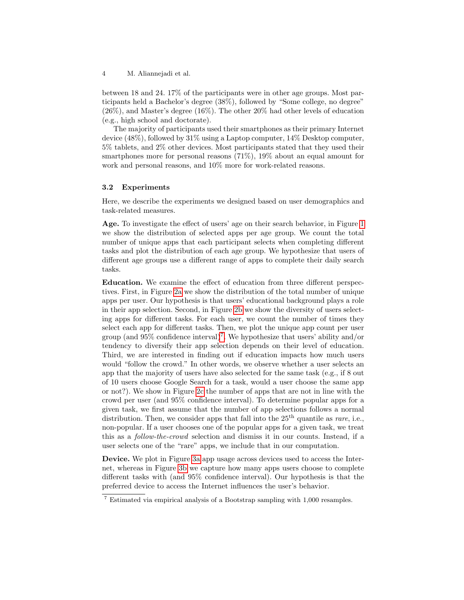between 18 and 24. 17% of the participants were in other age groups. Most participants held a Bachelor's degree (38%), followed by "Some college, no degree" (26%), and Master's degree (16%). The other 20% had other levels of education (e.g., high school and doctorate).

The majority of participants used their smartphones as their primary Internet device (48%), followed by 31% using a Laptop computer, 14% Desktop computer, 5% tablets, and 2% other devices. Most participants stated that they used their smartphones more for personal reasons (71%), 19% about an equal amount for work and personal reasons, and 10% more for work-related reasons.

## <span id="page-3-1"></span>3.2 Experiments

Here, we describe the experiments we designed based on user demographics and task-related measures.

Age. To investigate the effect of users' age on their search behavior, in Figure [1](#page-4-0) we show the distribution of selected apps per age group. We count the total number of unique apps that each participant selects when completing different tasks and plot the distribution of each age group. We hypothesize that users of different age groups use a different range of apps to complete their daily search tasks.

Education. We examine the effect of education from three different perspectives. First, in Figure [2a](#page-5-0) we show the distribution of the total number of unique apps per user. Our hypothesis is that users' educational background plays a role in their app selection. Second, in Figure [2b](#page-5-1) we show the diversity of users selecting apps for different tasks. For each user, we count the number of times they select each app for different tasks. Then, we plot the unique app count per user group (and 95% confidence interval)[7](#page-3-0) . We hypothesize that users' ability and/or tendency to diversify their app selection depends on their level of education. Third, we are interested in finding out if education impacts how much users would "follow the crowd." In other words, we observe whether a user selects an app that the majority of users have also selected for the same task (e.g., if 8 out of 10 users choose Google Search for a task, would a user choose the same app or not?). We show in Figure [2c](#page-5-2) the number of apps that are not in line with the crowd per user (and 95% confidence interval). To determine popular apps for a given task, we first assume that the number of app selections follows a normal distribution. Then, we consider apps that fall into the  $25<sup>th</sup>$  quantile as rare, i.e., non-popular. If a user chooses one of the popular apps for a given task, we treat this as a follow-the-crowd selection and dismiss it in our counts. Instead, if a user selects one of the "rare" apps, we include that in our computation.

Device. We plot in Figure [3a](#page-6-0) app usage across devices used to access the Internet, whereas in Figure [3b](#page-6-1) we capture how many apps users choose to complete different tasks with (and 95% confidence interval). Our hypothesis is that the preferred device to access the Internet influences the user's behavior.

<span id="page-3-0"></span><sup>7</sup> Estimated via empirical analysis of a Bootstrap sampling with 1,000 resamples.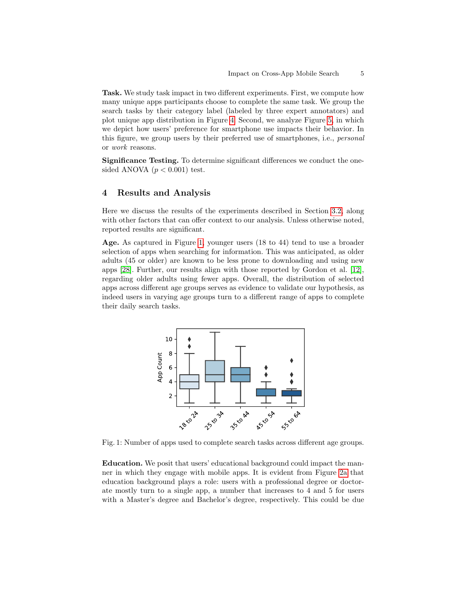Task. We study task impact in two different experiments. First, we compute how many unique apps participants choose to complete the same task. We group the search tasks by their category label (labeled by three expert annotators) and plot unique app distribution in Figure [4.](#page-7-0) Second, we analyze Figure [5,](#page-9-1) in which we depict how users' preference for smartphone use impacts their behavior. In this figure, we group users by their preferred use of smartphones, i.e., personal or work reasons.

Significance Testing. To determine significant differences we conduct the onesided ANOVA  $(p < 0.001)$  test.

## 4 Results and Analysis

Here we discuss the results of the experiments described in Section [3.2,](#page-3-1) along with other factors that can offer context to our analysis. Unless otherwise noted, reported results are significant.

Age. As captured in Figure [1,](#page-4-0) younger users (18 to 44) tend to use a broader selection of apps when searching for information. This was anticipated, as older adults (45 or older) are known to be less prone to downloading and using new apps [\[28\]](#page-11-7). Further, our results align with those reported by Gordon et al. [\[12\]](#page-10-11), regarding older adults using fewer apps. Overall, the distribution of selected apps across different age groups serves as evidence to validate our hypothesis, as indeed users in varying age groups turn to a different range of apps to complete their daily search tasks.

<span id="page-4-0"></span>

Fig. 1: Number of apps used to complete search tasks across different age groups.

Education. We posit that users' educational background could impact the manner in which they engage with mobile apps. It is evident from Figure [2a](#page-5-0) that education background plays a role: users with a professional degree or doctorate mostly turn to a single app, a number that increases to 4 and 5 for users with a Master's degree and Bachelor's degree, respectively. This could be due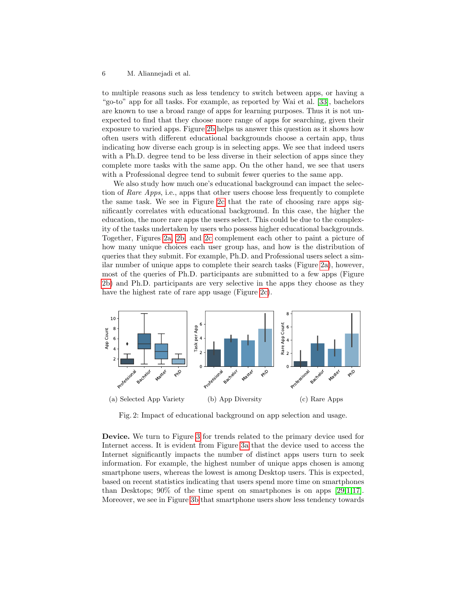to multiple reasons such as less tendency to switch between apps, or having a "go-to" app for all tasks. For example, as reported by Wai et al. [\[33\]](#page-11-8), bachelors are known to use a broad range of apps for learning purposes. Thus it is not unexpected to find that they choose more range of apps for searching, given their exposure to varied apps. Figure [2b](#page-5-1) helps us answer this question as it shows how often users with different educational backgrounds choose a certain app, thus indicating how diverse each group is in selecting apps. We see that indeed users with a Ph.D. degree tend to be less diverse in their selection of apps since they complete more tasks with the same app. On the other hand, we see that users with a Professional degree tend to submit fewer queries to the same app.

We also study how much one's educational background can impact the selection of Rare Apps, i.e., apps that other users choose less frequently to complete the same task. We see in Figure [2c](#page-5-2) that the rate of choosing rare apps significantly correlates with educational background. In this case, the higher the education, the more rare apps the users select. This could be due to the complexity of the tasks undertaken by users who possess higher educational backgrounds. Together, Figures [2a,](#page-5-0) [2b,](#page-5-1) and [2c](#page-5-2) complement each other to paint a picture of how many unique choices each user group has, and how is the distribution of queries that they submit. For example, Ph.D. and Professional users select a similar number of unique apps to complete their search tasks (Figure [2a\)](#page-5-0), however, most of the queries of Ph.D. participants are submitted to a few apps (Figure [2b\)](#page-5-1) and Ph.D. participants are very selective in the apps they choose as they have the highest rate of rare app usage (Figure [2c\)](#page-5-2).

<span id="page-5-0"></span>

<span id="page-5-2"></span><span id="page-5-1"></span>Fig. 2: Impact of educational background on app selection and usage.

Device. We turn to Figure [3](#page-6-2) for trends related to the primary device used for Internet access. It is evident from Figure [3a](#page-6-0) that the device used to access the Internet significantly impacts the number of distinct apps users turn to seek information. For example, the highest number of unique apps chosen is among smartphone users, whereas the lowest is among Desktop users. This is expected, based on recent statistics indicating that users spend more time on smartphones than Desktops; 90% of the time spent on smartphones is on apps [\[29,](#page-11-9)[1,](#page-9-2)[17\]](#page-10-12). Moreover, we see in Figure [3b](#page-6-1) that smartphone users show less tendency towards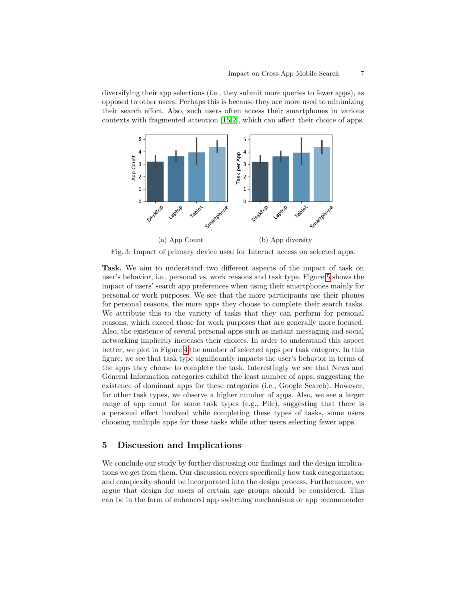diversifying their app selections (i.e., they submit more queries to fewer apps), as opposed to other users. Perhaps this is because they are more used to minimizing their search effort. Also, such users often access their smartphones in various contexts with fragmented attention [\[15,](#page-10-13)[2\]](#page-9-3), which can affect their choice of apps.

<span id="page-6-2"></span><span id="page-6-0"></span>

<span id="page-6-1"></span>Fig. 3: Impact of primary device used for Internet access on selected apps.

Task. We aim to understand two different aspects of the impact of task on user's behavior, i.e., personal vs. work reasons and task type. Figure [5](#page-9-1) shows the impact of users' search app preferences when using their smartphones mainly for personal or work purposes. We see that the more participants use their phones for personal reasons, the more apps they choose to complete their search tasks. We attribute this to the variety of tasks that they can perform for personal reasons, which exceed those for work purposes that are generally more focused. Also, the existence of several personal apps such as instant messaging and social networking implicitly increases their choices. In order to understand this aspect better, we plot in Figure [4](#page-7-0) the number of selected apps per task category. In this figure, we see that task type significantly impacts the user's behavior in terms of the apps they choose to complete the task. Interestingly we see that News and General Information categories exhibit the least number of apps, suggesting the existence of dominant apps for these categories (i.e., Google Search). However, for other task types, we observe a higher number of apps. Also, we see a larger range of app count for some task types (e.g., File), suggesting that there is a personal effect involved while completing these types of tasks, some users choosing multiple apps for these tasks while other users selecting fewer apps.

## 5 Discussion and Implications

We conclude our study by further discussing our findings and the design implications we get from them. Our discussion covers specifically how task categorization and complexity should be incorporated into the design process. Furthermore, we argue that design for users of certain age groups should be considered. This can be in the form of enhanced app switching mechanisms or app recommender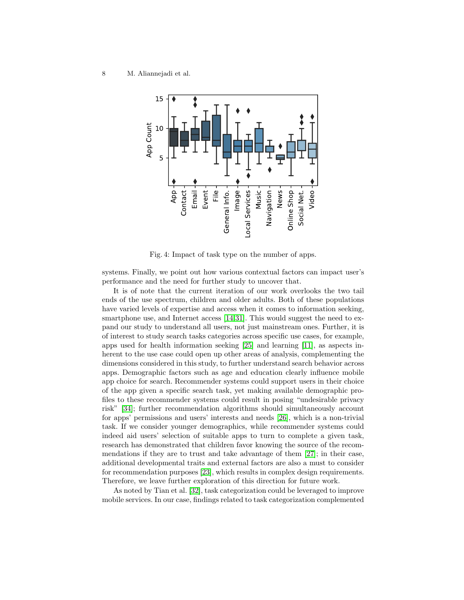<span id="page-7-0"></span>

Fig. 4: Impact of task type on the number of apps.

systems. Finally, we point out how various contextual factors can impact user's performance and the need for further study to uncover that.

It is of note that the current iteration of our work overlooks the two tail ends of the use spectrum, children and older adults. Both of these populations have varied levels of expertise and access when it comes to information seeking, smartphone use, and Internet access [\[14,](#page-10-14)[31\]](#page-11-10). This would suggest the need to expand our study to understand all users, not just mainstream ones. Further, it is of interest to study search tasks categories across specific use cases, for example, apps used for health information seeking [\[25\]](#page-11-11) and learning [\[11\]](#page-10-15), as aspects inherent to the use case could open up other areas of analysis, complementing the dimensions considered in this study, to further understand search behavior across apps. Demographic factors such as age and education clearly influence mobile app choice for search. Recommender systems could support users in their choice of the app given a specific search task, yet making available demographic profiles to these recommender systems could result in posing "undesirable privacy risk" [\[34\]](#page-11-12); further recommendation algorithms should simultaneously account for apps' permissions and users' interests and needs [\[26\]](#page-11-13), which is a non-trivial task. If we consider younger demographics, while recommender systems could indeed aid users' selection of suitable apps to turn to complete a given task, research has demonstrated that children favor knowing the source of the recommendations if they are to trust and take advantage of them [\[27\]](#page-11-14); in their case, additional developmental traits and external factors are also a must to consider for recommendation purposes [\[23\]](#page-10-16), which results in complex design requirements. Therefore, we leave further exploration of this direction for future work.

As noted by Tian et al. [\[32\]](#page-11-5), task categorization could be leveraged to improve mobile services. In our case, findings related to task categorization complemented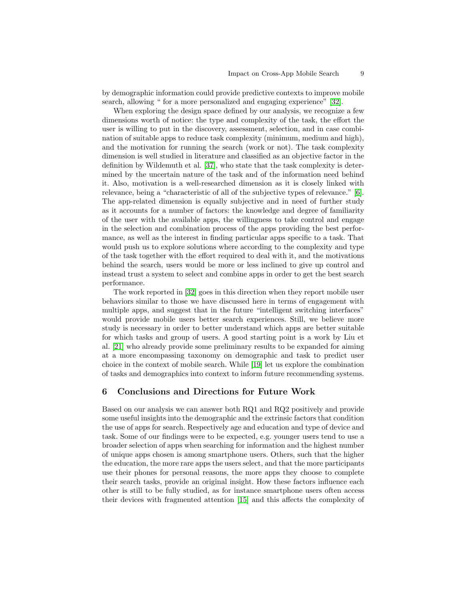by demographic information could provide predictive contexts to improve mobile search, allowing " for a more personalized and engaging experience" [\[32\]](#page-11-5).

When exploring the design space defined by our analysis, we recognize a few dimensions worth of notice: the type and complexity of the task, the effort the user is willing to put in the discovery, assessment, selection, and in case combination of suitable apps to reduce task complexity (minimum, medium and high), and the motivation for running the search (work or not). The task complexity dimension is well studied in literature and classified as an objective factor in the definition by Wildemuth et al. [\[37\]](#page-11-15), who state that the task complexity is determined by the uncertain nature of the task and of the information need behind it. Also, motivation is a well-researched dimension as it is closely linked with relevance, being a "characteristic of all of the subjective types of relevance." [\[6\]](#page-10-17). The app-related dimension is equally subjective and in need of further study as it accounts for a number of factors: the knowledge and degree of familiarity of the user with the available apps, the willingness to take control and engage in the selection and combination process of the apps providing the best performance, as well as the interest in finding particular apps specific to a task. That would push us to explore solutions where according to the complexity and type of the task together with the effort required to deal with it, and the motivations behind the search, users would be more or less inclined to give up control and instead trust a system to select and combine apps in order to get the best search performance.

The work reported in [\[32\]](#page-11-5) goes in this direction when they report mobile user behaviors similar to those we have discussed here in terms of engagement with multiple apps, and suggest that in the future "intelligent switching interfaces" would provide mobile users better search experiences. Still, we believe more study is necessary in order to better understand which apps are better suitable for which tasks and group of users. A good starting point is a work by Liu et al. [\[21\]](#page-10-18) who already provide some preliminary results to be expanded for aiming at a more encompassing taxonomy on demographic and task to predict user choice in the context of mobile search. While [\[19\]](#page-10-19) let us explore the combination of tasks and demographics into context to inform future recommending systems.

## 6 Conclusions and Directions for Future Work

Based on our analysis we can answer both RQ1 and RQ2 positively and provide some useful insights into the demographic and the extrinsic factors that condition the use of apps for search. Respectively age and education and type of device and task. Some of our findings were to be expected, e.g. younger users tend to use a broader selection of apps when searching for information and the highest number of unique apps chosen is among smartphone users. Others, such that the higher the education, the more rare apps the users select, and that the more participants use their phones for personal reasons, the more apps they choose to complete their search tasks, provide an original insight. How these factors influence each other is still to be fully studied, as for instance smartphone users often access their devices with fragmented attention [\[15\]](#page-10-13) and this affects the complexity of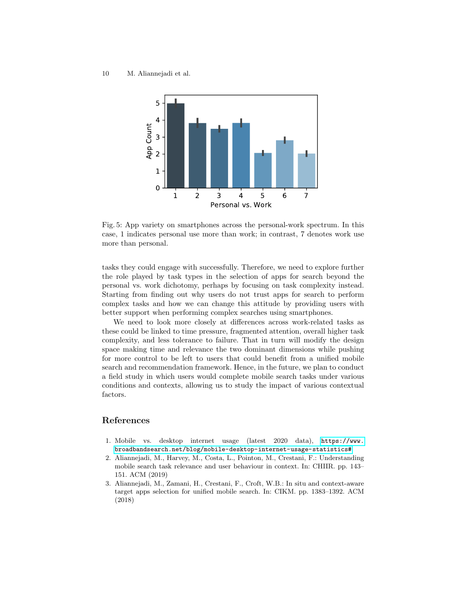<span id="page-9-1"></span>

Fig. 5: App variety on smartphones across the personal-work spectrum. In this case, 1 indicates personal use more than work; in contrast, 7 denotes work use more than personal.

tasks they could engage with successfully. Therefore, we need to explore further the role played by task types in the selection of apps for search beyond the personal vs. work dichotomy, perhaps by focusing on task complexity instead. Starting from finding out why users do not trust apps for search to perform complex tasks and how we can change this attitude by providing users with better support when performing complex searches using smartphones.

We need to look more closely at differences across work-related tasks as these could be linked to time pressure, fragmented attention, overall higher task complexity, and less tolerance to failure. That in turn will modify the design space making time and relevance the two dominant dimensions while pushing for more control to be left to users that could benefit from a unified mobile search and recommendation framework. Hence, in the future, we plan to conduct a field study in which users would complete mobile search tasks under various conditions and contexts, allowing us to study the impact of various contextual factors.

# References

- <span id="page-9-2"></span>1. Mobile vs. desktop internet usage (latest 2020 data), [https://www.](https://www.broadbandsearch.net/blog/mobile-desktop-internet-usage-statistics#) [broadbandsearch.net/blog/mobile-desktop-internet-usage-statistics#](https://www.broadbandsearch.net/blog/mobile-desktop-internet-usage-statistics#)
- <span id="page-9-3"></span>2. Aliannejadi, M., Harvey, M., Costa, L., Pointon, M., Crestani, F.: Understanding mobile search task relevance and user behaviour in context. In: CHIIR. pp. 143– 151. ACM (2019)
- <span id="page-9-0"></span>3. Aliannejadi, M., Zamani, H., Crestani, F., Croft, W.B.: In situ and context-aware target apps selection for unified mobile search. In: CIKM. pp. 1383–1392. ACM (2018)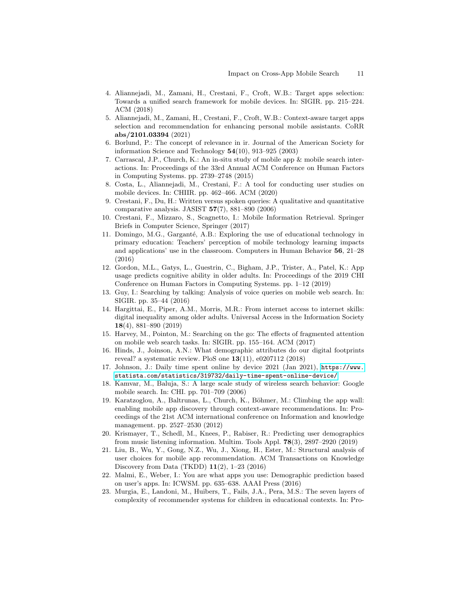- <span id="page-10-1"></span>4. Aliannejadi, M., Zamani, H., Crestani, F., Croft, W.B.: Target apps selection: Towards a unified search framework for mobile devices. In: SIGIR. pp. 215–224. ACM (2018)
- <span id="page-10-2"></span>5. Aliannejadi, M., Zamani, H., Crestani, F., Croft, W.B.: Context-aware target apps selection and recommendation for enhancing personal mobile assistants. CoRR abs/2101.03394 (2021)
- <span id="page-10-17"></span>6. Borlund, P.: The concept of relevance in ir. Journal of the American Society for information Science and Technology 54(10), 913–925 (2003)
- <span id="page-10-6"></span>7. Carrascal, J.P., Church, K.: An in-situ study of mobile app & mobile search interactions. In: Proceedings of the 33rd Annual ACM Conference on Human Factors in Computing Systems. pp. 2739–2748 (2015)
- <span id="page-10-10"></span>8. Costa, L., Aliannejadi, M., Crestani, F.: A tool for conducting user studies on mobile devices. In: CHIIR. pp. 462–466. ACM (2020)
- <span id="page-10-9"></span>9. Crestani, F., Du, H.: Written versus spoken queries: A qualitative and quantitative comparative analysis. JASIST 57(7), 881–890 (2006)
- <span id="page-10-0"></span>10. Crestani, F., Mizzaro, S., Scagnetto, I.: Mobile Information Retrieval. Springer Briefs in Computer Science, Springer (2017)
- <span id="page-10-15"></span>11. Domingo, M.G., Garganté, A.B.: Exploring the use of educational technology in primary education: Teachers' perception of mobile technology learning impacts and applications' use in the classroom. Computers in Human Behavior 56, 21–28 (2016)
- <span id="page-10-11"></span>12. Gordon, M.L., Gatys, L., Guestrin, C., Bigham, J.P., Trister, A., Patel, K.: App usage predicts cognitive ability in older adults. In: Proceedings of the 2019 CHI Conference on Human Factors in Computing Systems. pp. 1–12 (2019)
- <span id="page-10-8"></span>13. Guy, I.: Searching by talking: Analysis of voice queries on mobile web search. In: SIGIR. pp. 35–44 (2016)
- <span id="page-10-14"></span>14. Hargittai, E., Piper, A.M., Morris, M.R.: From internet access to internet skills: digital inequality among older adults. Universal Access in the Information Society 18(4), 881–890 (2019)
- <span id="page-10-13"></span>15. Harvey, M., Pointon, M.: Searching on the go: The effects of fragmented attention on mobile web search tasks. In: SIGIR. pp. 155–164. ACM (2017)
- <span id="page-10-4"></span>16. Hinds, J., Joinson, A.N.: What demographic attributes do our digital footprints reveal? a systematic review. PloS one 13(11), e0207112 (2018)
- <span id="page-10-12"></span>17. Johnson, J.: Daily time spent online by device 2021 (Jan 2021), [https://www.](https://www.statista.com/statistics/319732/daily-time-spent-online-device/) [statista.com/statistics/319732/daily-time-spent-online-device/](https://www.statista.com/statistics/319732/daily-time-spent-online-device/)
- <span id="page-10-7"></span>18. Kamvar, M., Baluja, S.: A large scale study of wireless search behavior: Google mobile search. In: CHI. pp. 701–709 (2006)
- <span id="page-10-19"></span>19. Karatzoglou, A., Baltrunas, L., Church, K., Böhmer, M.: Climbing the app wall: enabling mobile app discovery through context-aware recommendations. In: Proceedings of the 21st ACM international conference on Information and knowledge management. pp. 2527–2530 (2012)
- <span id="page-10-5"></span>20. Krismayer, T., Schedl, M., Knees, P., Rabiser, R.: Predicting user demographics from music listening information. Multim. Tools Appl. 78(3), 2897–2920 (2019)
- <span id="page-10-18"></span>21. Liu, B., Wu, Y., Gong, N.Z., Wu, J., Xiong, H., Ester, M.: Structural analysis of user choices for mobile app recommendation. ACM Transactions on Knowledge Discovery from Data (TKDD) 11(2), 1–23 (2016)
- <span id="page-10-3"></span>22. Malmi, E., Weber, I.: You are what apps you use: Demographic prediction based on user's apps. In: ICWSM. pp. 635–638. AAAI Press (2016)
- <span id="page-10-16"></span>23. Murgia, E., Landoni, M., Huibers, T., Fails, J.A., Pera, M.S.: The seven layers of complexity of recommender systems for children in educational contexts. In: Pro-